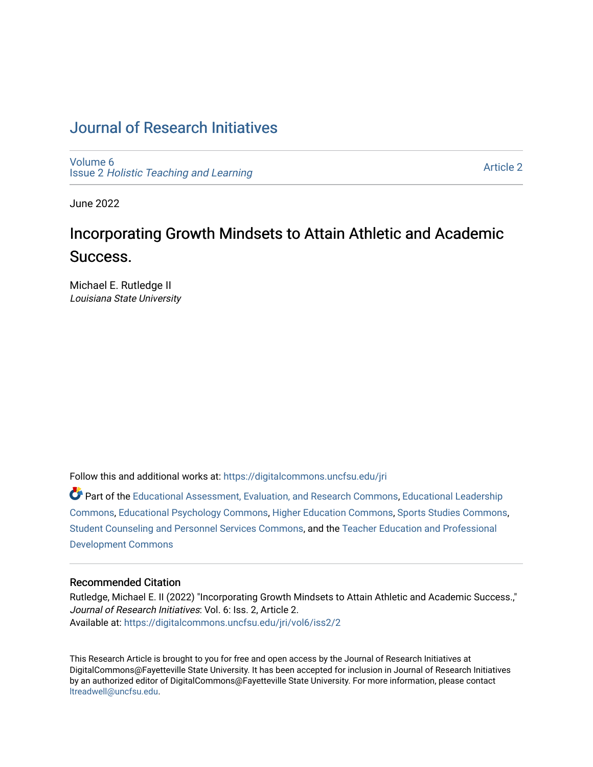# [Journal of Research Initiatives](https://digitalcommons.uncfsu.edu/jri)

[Volume 6](https://digitalcommons.uncfsu.edu/jri/vol6) Issue 2 [Holistic Teaching and Learning](https://digitalcommons.uncfsu.edu/jri/vol6/iss2)

[Article 2](https://digitalcommons.uncfsu.edu/jri/vol6/iss2/2) 

June 2022

# Incorporating Growth Mindsets to Attain Athletic and Academic Success.

Michael E. Rutledge II Louisiana State University

Follow this and additional works at: [https://digitalcommons.uncfsu.edu/jri](https://digitalcommons.uncfsu.edu/jri?utm_source=digitalcommons.uncfsu.edu%2Fjri%2Fvol6%2Fiss2%2F2&utm_medium=PDF&utm_campaign=PDFCoverPages) 

Part of the [Educational Assessment, Evaluation, and Research Commons](https://network.bepress.com/hgg/discipline/796?utm_source=digitalcommons.uncfsu.edu%2Fjri%2Fvol6%2Fiss2%2F2&utm_medium=PDF&utm_campaign=PDFCoverPages), [Educational Leadership](https://network.bepress.com/hgg/discipline/1230?utm_source=digitalcommons.uncfsu.edu%2Fjri%2Fvol6%2Fiss2%2F2&utm_medium=PDF&utm_campaign=PDFCoverPages) [Commons](https://network.bepress.com/hgg/discipline/1230?utm_source=digitalcommons.uncfsu.edu%2Fjri%2Fvol6%2Fiss2%2F2&utm_medium=PDF&utm_campaign=PDFCoverPages), [Educational Psychology Commons,](https://network.bepress.com/hgg/discipline/798?utm_source=digitalcommons.uncfsu.edu%2Fjri%2Fvol6%2Fiss2%2F2&utm_medium=PDF&utm_campaign=PDFCoverPages) [Higher Education Commons](https://network.bepress.com/hgg/discipline/1245?utm_source=digitalcommons.uncfsu.edu%2Fjri%2Fvol6%2Fiss2%2F2&utm_medium=PDF&utm_campaign=PDFCoverPages), [Sports Studies Commons](https://network.bepress.com/hgg/discipline/1198?utm_source=digitalcommons.uncfsu.edu%2Fjri%2Fvol6%2Fiss2%2F2&utm_medium=PDF&utm_campaign=PDFCoverPages), [Student Counseling and Personnel Services Commons](https://network.bepress.com/hgg/discipline/802?utm_source=digitalcommons.uncfsu.edu%2Fjri%2Fvol6%2Fiss2%2F2&utm_medium=PDF&utm_campaign=PDFCoverPages), and the [Teacher Education and Professional](https://network.bepress.com/hgg/discipline/803?utm_source=digitalcommons.uncfsu.edu%2Fjri%2Fvol6%2Fiss2%2F2&utm_medium=PDF&utm_campaign=PDFCoverPages) [Development Commons](https://network.bepress.com/hgg/discipline/803?utm_source=digitalcommons.uncfsu.edu%2Fjri%2Fvol6%2Fiss2%2F2&utm_medium=PDF&utm_campaign=PDFCoverPages) 

### Recommended Citation

Rutledge, Michael E. II (2022) "Incorporating Growth Mindsets to Attain Athletic and Academic Success.," Journal of Research Initiatives: Vol. 6: Iss. 2, Article 2. Available at: [https://digitalcommons.uncfsu.edu/jri/vol6/iss2/2](https://digitalcommons.uncfsu.edu/jri/vol6/iss2/2?utm_source=digitalcommons.uncfsu.edu%2Fjri%2Fvol6%2Fiss2%2F2&utm_medium=PDF&utm_campaign=PDFCoverPages) 

This Research Article is brought to you for free and open access by the Journal of Research Initiatives at DigitalCommons@Fayetteville State University. It has been accepted for inclusion in Journal of Research Initiatives by an authorized editor of DigitalCommons@Fayetteville State University. For more information, please contact [ltreadwell@uncfsu.edu](mailto:ltreadwell@uncfsu.edu).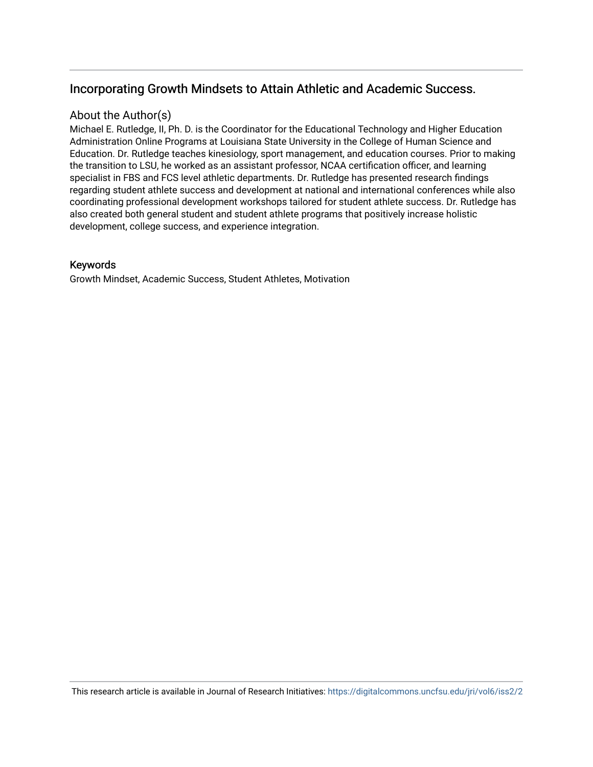# Incorporating Growth Mindsets to Attain Athletic and Academic Success.

## About the Author(s)

Michael E. Rutledge, II, Ph. D. is the Coordinator for the Educational Technology and Higher Education Administration Online Programs at Louisiana State University in the College of Human Science and Education. Dr. Rutledge teaches kinesiology, sport management, and education courses. Prior to making the transition to LSU, he worked as an assistant professor, NCAA certification officer, and learning specialist in FBS and FCS level athletic departments. Dr. Rutledge has presented research findings regarding student athlete success and development at national and international conferences while also coordinating professional development workshops tailored for student athlete success. Dr. Rutledge has also created both general student and student athlete programs that positively increase holistic development, college success, and experience integration.

## Keywords

Growth Mindset, Academic Success, Student Athletes, Motivation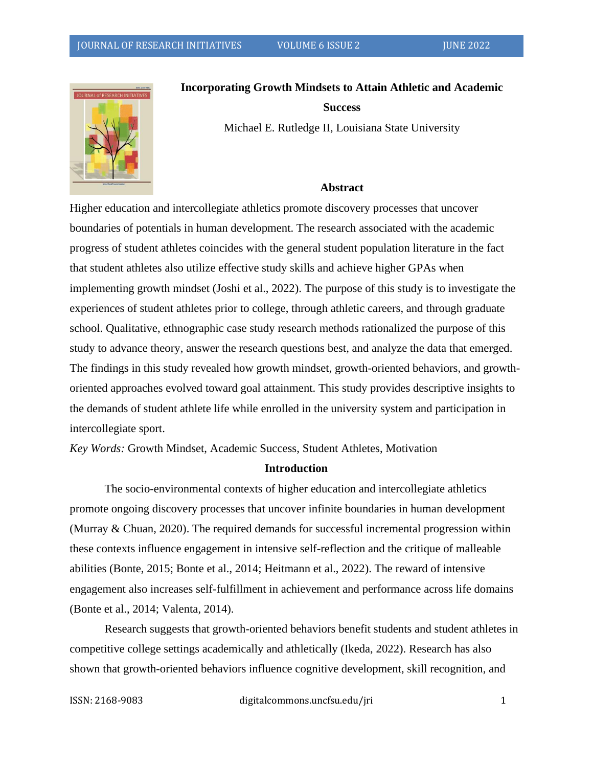

**Incorporating Growth Mindsets to Attain Athletic and Academic** 

#### **Success**

Michael E. Rutledge II, Louisiana State University

#### **Abstract**

Higher education and intercollegiate athletics promote discovery processes that uncover boundaries of potentials in human development. The research associated with the academic progress of student athletes coincides with the general student population literature in the fact that student athletes also utilize effective study skills and achieve higher GPAs when implementing growth mindset (Joshi et al., 2022). The purpose of this study is to investigate the experiences of student athletes prior to college, through athletic careers, and through graduate school. Qualitative, ethnographic case study research methods rationalized the purpose of this study to advance theory, answer the research questions best, and analyze the data that emerged. The findings in this study revealed how growth mindset, growth-oriented behaviors, and growthoriented approaches evolved toward goal attainment. This study provides descriptive insights to the demands of student athlete life while enrolled in the university system and participation in intercollegiate sport.

*Key Words:* Growth Mindset, Academic Success, Student Athletes, Motivation

#### **Introduction**

The socio-environmental contexts of higher education and intercollegiate athletics promote ongoing discovery processes that uncover infinite boundaries in human development (Murray & Chuan, 2020). The required demands for successful incremental progression within these contexts influence engagement in intensive self-reflection and the critique of malleable abilities (Bonte, 2015; Bonte et al., 2014; Heitmann et al., 2022). The reward of intensive engagement also increases self-fulfillment in achievement and performance across life domains (Bonte et al., 2014; Valenta, 2014).

Research suggests that growth-oriented behaviors benefit students and student athletes in competitive college settings academically and athletically (Ikeda, 2022). Research has also shown that growth-oriented behaviors influence cognitive development, skill recognition, and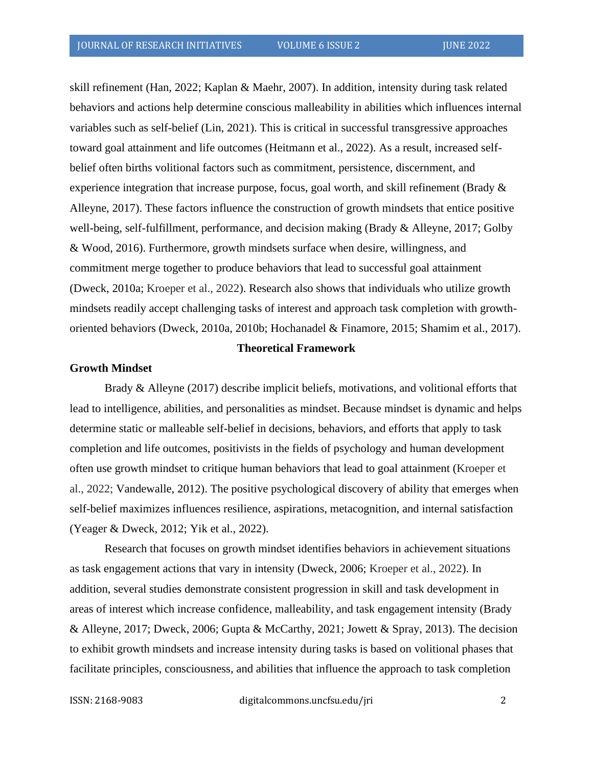skill refinement (Han, 2022; Kaplan & Maehr, 2007). In addition, intensity during task related behaviors and actions help determine conscious malleability in abilities which influences internal variables such as self-belief (Lin, 2021). This is critical in successful transgressive approaches toward goal attainment and life outcomes (Heitmann et al., 2022). As a result, increased selfbelief often births volitional factors such as commitment, persistence, discernment, and experience integration that increase purpose, focus, goal worth, and skill refinement (Brady  $\&$ Alleyne, 2017). These factors influence the construction of growth mindsets that entice positive well-being, self-fulfillment, performance, and decision making (Brady & Alleyne, 2017; Golby & Wood, 2016). Furthermore, growth mindsets surface when desire, willingness, and commitment merge together to produce behaviors that lead to successful goal attainment (Dweck, 2010a; Kroeper et al., 2022). Research also shows that individuals who utilize growth mindsets readily accept challenging tasks of interest and approach task completion with growthoriented behaviors (Dweck, 2010a, 2010b; Hochanadel & Finamore, 2015; Shamim et al., 2017).

#### **Theoretical Framework**

#### **Growth Mindset**

Brady & Alleyne (2017) describe implicit beliefs, motivations, and volitional efforts that lead to intelligence, abilities, and personalities as mindset. Because mindset is dynamic and helps determine static or malleable self-belief in decisions, behaviors, and efforts that apply to task completion and life outcomes, positivists in the fields of psychology and human development often use growth mindset to critique human behaviors that lead to goal attainment (Kroeper et al., 2022; Vandewalle, 2012). The positive psychological discovery of ability that emerges when self-belief maximizes influences resilience, aspirations, metacognition, and internal satisfaction (Yeager & Dweck, 2012; Yik et al., 2022).

Research that focuses on growth mindset identifies behaviors in achievement situations as task engagement actions that vary in intensity (Dweck, 2006; Kroeper et al., 2022). In addition, several studies demonstrate consistent progression in skill and task development in areas of interest which increase confidence, malleability, and task engagement intensity (Brady & Alleyne, 2017; Dweck, 2006; Gupta & McCarthy, 2021; Jowett & Spray, 2013). The decision to exhibit growth mindsets and increase intensity during tasks is based on volitional phases that facilitate principles, consciousness, and abilities that influence the approach to task completion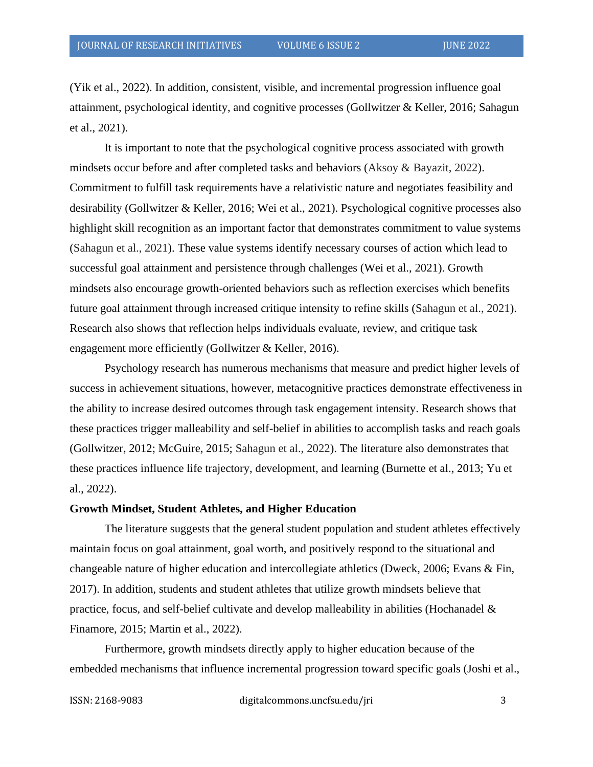(Yik et al., 2022). In addition, consistent, visible, and incremental progression influence goal attainment, psychological identity, and cognitive processes (Gollwitzer & Keller, 2016; Sahagun et al., 2021).

It is important to note that the psychological cognitive process associated with growth mindsets occur before and after completed tasks and behaviors (Aksoy & Bayazit, 2022). Commitment to fulfill task requirements have a relativistic nature and negotiates feasibility and desirability (Gollwitzer & Keller, 2016; Wei et al., 2021). Psychological cognitive processes also highlight skill recognition as an important factor that demonstrates commitment to value systems (Sahagun et al., 2021). These value systems identify necessary courses of action which lead to successful goal attainment and persistence through challenges (Wei et al., 2021). Growth mindsets also encourage growth-oriented behaviors such as reflection exercises which benefits future goal attainment through increased critique intensity to refine skills (Sahagun et al., 2021). Research also shows that reflection helps individuals evaluate, review, and critique task engagement more efficiently (Gollwitzer & Keller, 2016).

Psychology research has numerous mechanisms that measure and predict higher levels of success in achievement situations, however, metacognitive practices demonstrate effectiveness in the ability to increase desired outcomes through task engagement intensity. Research shows that these practices trigger malleability and self-belief in abilities to accomplish tasks and reach goals (Gollwitzer, 2012; McGuire, 2015; Sahagun et al., 2022). The literature also demonstrates that these practices influence life trajectory, development, and learning (Burnette et al., 2013; Yu et al., 2022).

#### **Growth Mindset, Student Athletes, and Higher Education**

The literature suggests that the general student population and student athletes effectively maintain focus on goal attainment, goal worth, and positively respond to the situational and changeable nature of higher education and intercollegiate athletics (Dweck, 2006; Evans & Fin, 2017). In addition, students and student athletes that utilize growth mindsets believe that practice, focus, and self-belief cultivate and develop malleability in abilities (Hochanadel  $\&$ Finamore, 2015; Martin et al., 2022).

Furthermore, growth mindsets directly apply to higher education because of the embedded mechanisms that influence incremental progression toward specific goals (Joshi et al.,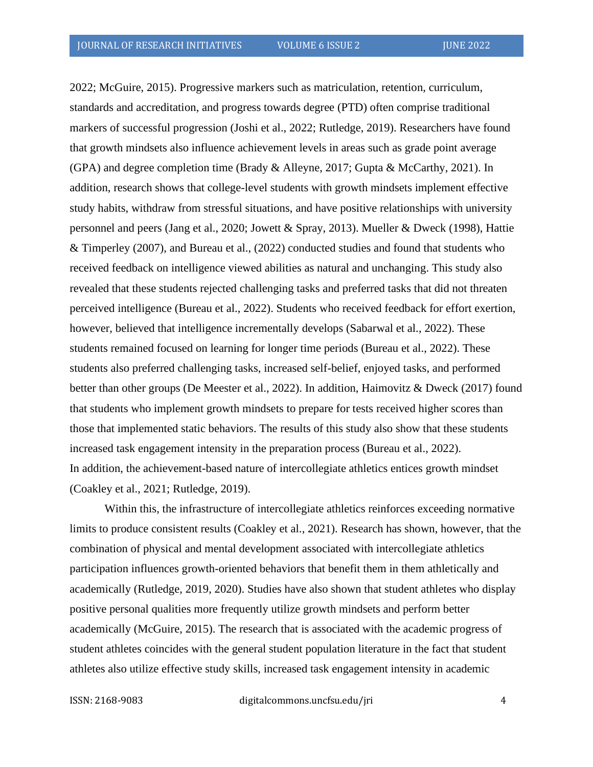2022; McGuire, 2015). Progressive markers such as matriculation, retention, curriculum, standards and accreditation, and progress towards degree (PTD) often comprise traditional markers of successful progression (Joshi et al., 2022; Rutledge, 2019). Researchers have found that growth mindsets also influence achievement levels in areas such as grade point average (GPA) and degree completion time (Brady & Alleyne, 2017; Gupta & McCarthy, 2021). In addition, research shows that college-level students with growth mindsets implement effective study habits, withdraw from stressful situations, and have positive relationships with university personnel and peers (Jang et al., 2020; Jowett & Spray, 2013). Mueller & Dweck (1998), Hattie & Timperley (2007), and Bureau et al., (2022) conducted studies and found that students who received feedback on intelligence viewed abilities as natural and unchanging. This study also revealed that these students rejected challenging tasks and preferred tasks that did not threaten perceived intelligence (Bureau et al., 2022). Students who received feedback for effort exertion, however, believed that intelligence incrementally develops (Sabarwal et al., 2022). These students remained focused on learning for longer time periods (Bureau et al., 2022). These students also preferred challenging tasks, increased self-belief, enjoyed tasks, and performed better than other groups (De Meester et al., 2022). In addition, Haimovitz & Dweck (2017) found that students who implement growth mindsets to prepare for tests received higher scores than those that implemented static behaviors. The results of this study also show that these students increased task engagement intensity in the preparation process (Bureau et al., 2022). In addition, the achievement-based nature of intercollegiate athletics entices growth mindset (Coakley et al., 2021; Rutledge, 2019).

Within this, the infrastructure of intercollegiate athletics reinforces exceeding normative limits to produce consistent results (Coakley et al., 2021). Research has shown, however, that the combination of physical and mental development associated with intercollegiate athletics participation influences growth-oriented behaviors that benefit them in them athletically and academically (Rutledge, 2019, 2020). Studies have also shown that student athletes who display positive personal qualities more frequently utilize growth mindsets and perform better academically (McGuire, 2015). The research that is associated with the academic progress of student athletes coincides with the general student population literature in the fact that student athletes also utilize effective study skills, increased task engagement intensity in academic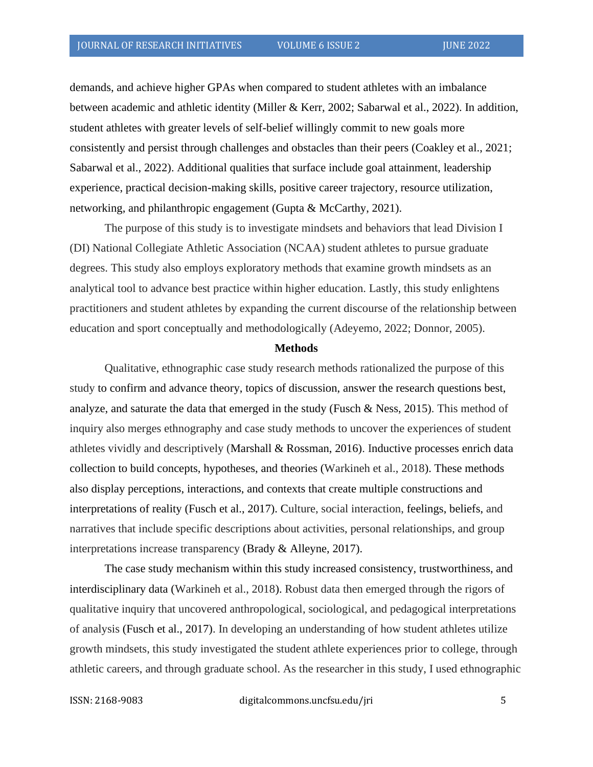demands, and achieve higher GPAs when compared to student athletes with an imbalance between academic and athletic identity (Miller & Kerr, 2002; Sabarwal et al., 2022). In addition, student athletes with greater levels of self-belief willingly commit to new goals more consistently and persist through challenges and obstacles than their peers (Coakley et al., 2021; Sabarwal et al., 2022). Additional qualities that surface include goal attainment, leadership experience, practical decision-making skills, positive career trajectory, resource utilization, networking, and philanthropic engagement (Gupta & McCarthy, 2021).

The purpose of this study is to investigate mindsets and behaviors that lead Division I (DI) National Collegiate Athletic Association (NCAA) student athletes to pursue graduate degrees. This study also employs exploratory methods that examine growth mindsets as an analytical tool to advance best practice within higher education. Lastly, this study enlightens practitioners and student athletes by expanding the current discourse of the relationship between education and sport conceptually and methodologically (Adeyemo, 2022; Donnor, 2005).

#### **Methods**

Qualitative, ethnographic case study research methods rationalized the purpose of this study to confirm and advance theory, topics of discussion, answer the research questions best, analyze, and saturate the data that emerged in the study (Fusch & Ness, 2015). This method of inquiry also merges ethnography and case study methods to uncover the experiences of student athletes vividly and descriptively (Marshall & Rossman, 2016). Inductive processes enrich data collection to build concepts, hypotheses, and theories (Warkineh et al., 2018). These methods also display perceptions, interactions, and contexts that create multiple constructions and interpretations of reality (Fusch et al., 2017). Culture, social interaction, feelings, beliefs, and narratives that include specific descriptions about activities, personal relationships, and group interpretations increase transparency (Brady & Alleyne, 2017).

The case study mechanism within this study increased consistency, trustworthiness, and interdisciplinary data (Warkineh et al., 2018). Robust data then emerged through the rigors of qualitative inquiry that uncovered anthropological, sociological, and pedagogical interpretations of analysis (Fusch et al., 2017). In developing an understanding of how student athletes utilize growth mindsets, this study investigated the student athlete experiences prior to college, through athletic careers, and through graduate school. As the researcher in this study, I used ethnographic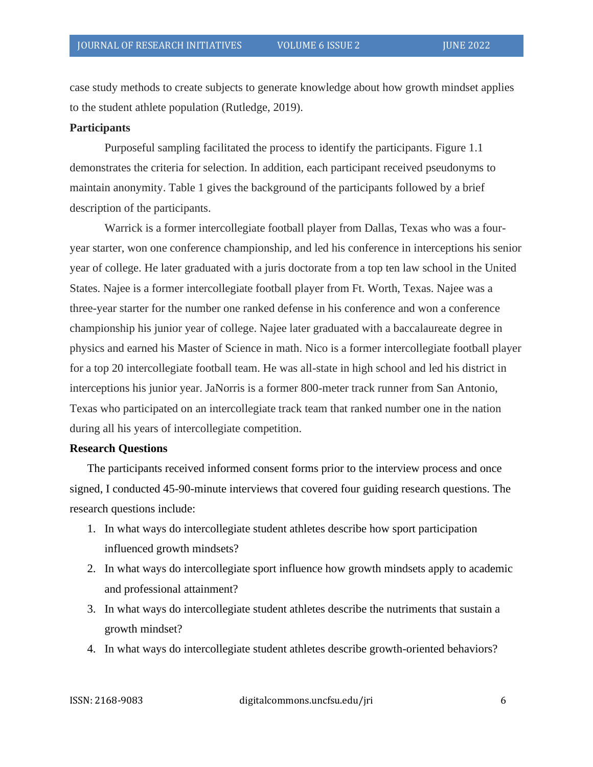case study methods to create subjects to generate knowledge about how growth mindset applies to the student athlete population (Rutledge, 2019).

#### **Participants**

Purposeful sampling facilitated the process to identify the participants. Figure 1.1 demonstrates the criteria for selection. In addition, each participant received pseudonyms to maintain anonymity. Table 1 gives the background of the participants followed by a brief description of the participants.

Warrick is a former intercollegiate football player from Dallas, Texas who was a fouryear starter, won one conference championship, and led his conference in interceptions his senior year of college. He later graduated with a juris doctorate from a top ten law school in the United States. Najee is a former intercollegiate football player from Ft. Worth, Texas. Najee was a three-year starter for the number one ranked defense in his conference and won a conference championship his junior year of college. Najee later graduated with a baccalaureate degree in physics and earned his Master of Science in math. Nico is a former intercollegiate football player for a top 20 intercollegiate football team. He was all-state in high school and led his district in interceptions his junior year. JaNorris is a former 800-meter track runner from San Antonio, Texas who participated on an intercollegiate track team that ranked number one in the nation during all his years of intercollegiate competition.

#### **Research Questions**

The participants received informed consent forms prior to the interview process and once signed, I conducted 45-90-minute interviews that covered four guiding research questions. The research questions include:

- 1. In what ways do intercollegiate student athletes describe how sport participation influenced growth mindsets?
- 2. In what ways do intercollegiate sport influence how growth mindsets apply to academic and professional attainment?
- 3. In what ways do intercollegiate student athletes describe the nutriments that sustain a growth mindset?
- 4. In what ways do intercollegiate student athletes describe growth-oriented behaviors?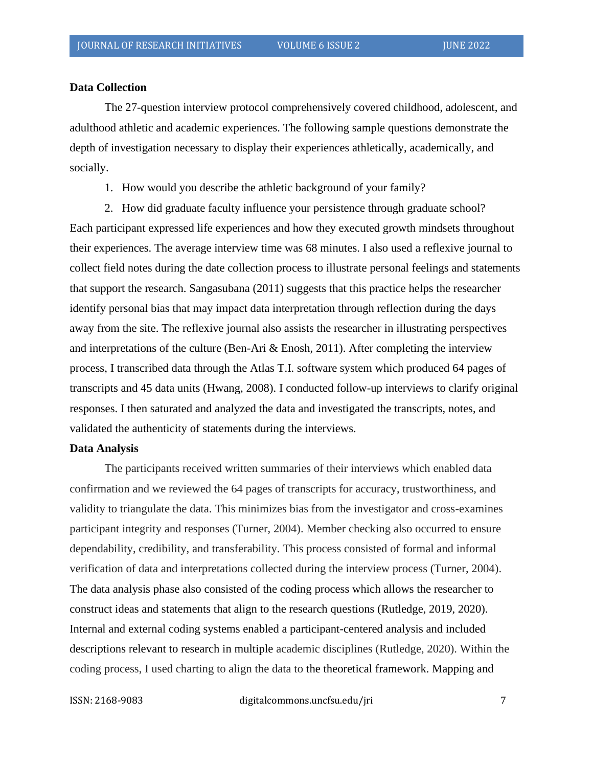#### **Data Collection**

The 27-question interview protocol comprehensively covered childhood, adolescent, and adulthood athletic and academic experiences. The following sample questions demonstrate the depth of investigation necessary to display their experiences athletically, academically, and socially.

1. How would you describe the athletic background of your family?

2. How did graduate faculty influence your persistence through graduate school? Each participant expressed life experiences and how they executed growth mindsets throughout their experiences. The average interview time was 68 minutes. I also used a reflexive journal to collect field notes during the date collection process to illustrate personal feelings and statements that support the research. Sangasubana (2011) suggests that this practice helps the researcher identify personal bias that may impact data interpretation through reflection during the days away from the site. The reflexive journal also assists the researcher in illustrating perspectives and interpretations of the culture (Ben-Ari  $\&$  Enosh, 2011). After completing the interview process, I transcribed data through the Atlas T.I. software system which produced 64 pages of transcripts and 45 data units (Hwang, 2008). I conducted follow-up interviews to clarify original responses. I then saturated and analyzed the data and investigated the transcripts, notes, and validated the authenticity of statements during the interviews.

#### **Data Analysis**

The participants received written summaries of their interviews which enabled data confirmation and we reviewed the 64 pages of transcripts for accuracy, trustworthiness, and validity to triangulate the data. This minimizes bias from the investigator and cross-examines participant integrity and responses (Turner, 2004). Member checking also occurred to ensure dependability, credibility, and transferability. This process consisted of formal and informal verification of data and interpretations collected during the interview process (Turner, 2004). The data analysis phase also consisted of the coding process which allows the researcher to construct ideas and statements that align to the research questions (Rutledge, 2019, 2020). Internal and external coding systems enabled a participant-centered analysis and included descriptions relevant to research in multiple academic disciplines (Rutledge, 2020). Within the coding process, I used charting to align the data to the theoretical framework. Mapping and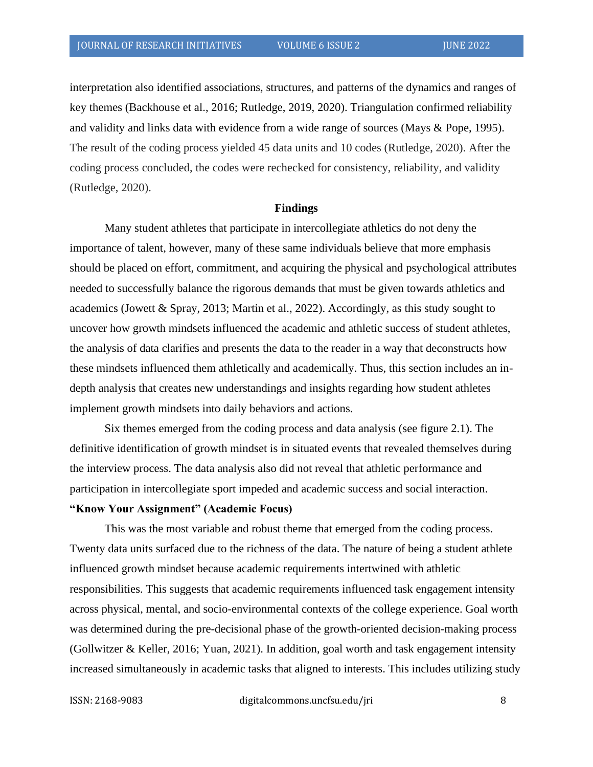interpretation also identified associations, structures, and patterns of the dynamics and ranges of key themes (Backhouse et al., 2016; Rutledge, 2019, 2020). Triangulation confirmed reliability and validity and links data with evidence from a wide range of sources (Mays & Pope, 1995). The result of the coding process yielded 45 data units and 10 codes (Rutledge, 2020). After the coding process concluded, the codes were rechecked for consistency, reliability, and validity (Rutledge, 2020).

#### **Findings**

Many student athletes that participate in intercollegiate athletics do not deny the importance of talent, however, many of these same individuals believe that more emphasis should be placed on effort, commitment, and acquiring the physical and psychological attributes needed to successfully balance the rigorous demands that must be given towards athletics and academics (Jowett & Spray, 2013; Martin et al., 2022). Accordingly, as this study sought to uncover how growth mindsets influenced the academic and athletic success of student athletes, the analysis of data clarifies and presents the data to the reader in a way that deconstructs how these mindsets influenced them athletically and academically. Thus, this section includes an indepth analysis that creates new understandings and insights regarding how student athletes implement growth mindsets into daily behaviors and actions.

Six themes emerged from the coding process and data analysis (see figure 2.1). The definitive identification of growth mindset is in situated events that revealed themselves during the interview process. The data analysis also did not reveal that athletic performance and participation in intercollegiate sport impeded and academic success and social interaction.

### **"Know Your Assignment" (Academic Focus)**

This was the most variable and robust theme that emerged from the coding process. Twenty data units surfaced due to the richness of the data. The nature of being a student athlete influenced growth mindset because academic requirements intertwined with athletic responsibilities. This suggests that academic requirements influenced task engagement intensity across physical, mental, and socio-environmental contexts of the college experience. Goal worth was determined during the pre-decisional phase of the growth-oriented decision-making process (Gollwitzer & Keller, 2016; Yuan, 2021). In addition, goal worth and task engagement intensity increased simultaneously in academic tasks that aligned to interests. This includes utilizing study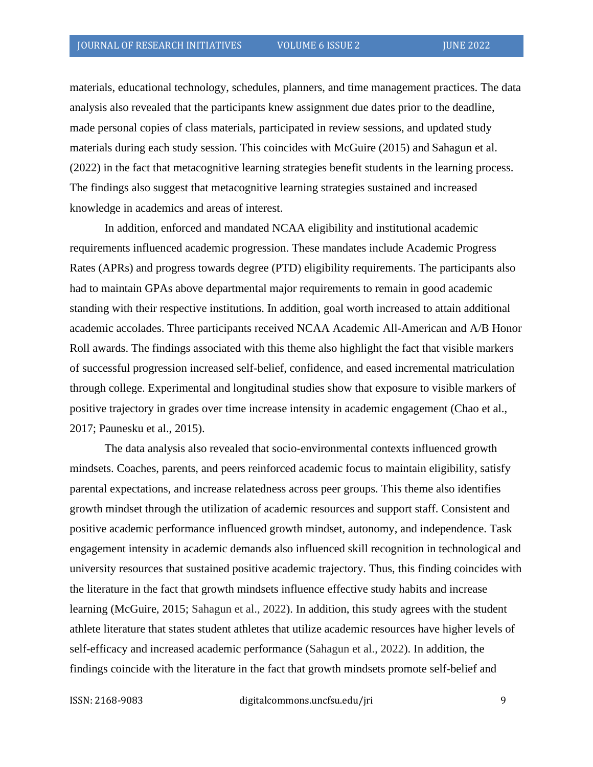materials, educational technology, schedules, planners, and time management practices. The data analysis also revealed that the participants knew assignment due dates prior to the deadline, made personal copies of class materials, participated in review sessions, and updated study materials during each study session. This coincides with McGuire (2015) and Sahagun et al. (2022) in the fact that metacognitive learning strategies benefit students in the learning process. The findings also suggest that metacognitive learning strategies sustained and increased knowledge in academics and areas of interest.

In addition, enforced and mandated NCAA eligibility and institutional academic requirements influenced academic progression. These mandates include Academic Progress Rates (APRs) and progress towards degree (PTD) eligibility requirements. The participants also had to maintain GPAs above departmental major requirements to remain in good academic standing with their respective institutions. In addition, goal worth increased to attain additional academic accolades. Three participants received NCAA Academic All-American and A/B Honor Roll awards. The findings associated with this theme also highlight the fact that visible markers of successful progression increased self-belief, confidence, and eased incremental matriculation through college. Experimental and longitudinal studies show that exposure to visible markers of positive trajectory in grades over time increase intensity in academic engagement (Chao et al., 2017; Paunesku et al., 2015).

The data analysis also revealed that socio-environmental contexts influenced growth mindsets. Coaches, parents, and peers reinforced academic focus to maintain eligibility, satisfy parental expectations, and increase relatedness across peer groups. This theme also identifies growth mindset through the utilization of academic resources and support staff. Consistent and positive academic performance influenced growth mindset, autonomy, and independence. Task engagement intensity in academic demands also influenced skill recognition in technological and university resources that sustained positive academic trajectory. Thus, this finding coincides with the literature in the fact that growth mindsets influence effective study habits and increase learning (McGuire, 2015; Sahagun et al., 2022). In addition, this study agrees with the student athlete literature that states student athletes that utilize academic resources have higher levels of self-efficacy and increased academic performance (Sahagun et al., 2022). In addition, the findings coincide with the literature in the fact that growth mindsets promote self-belief and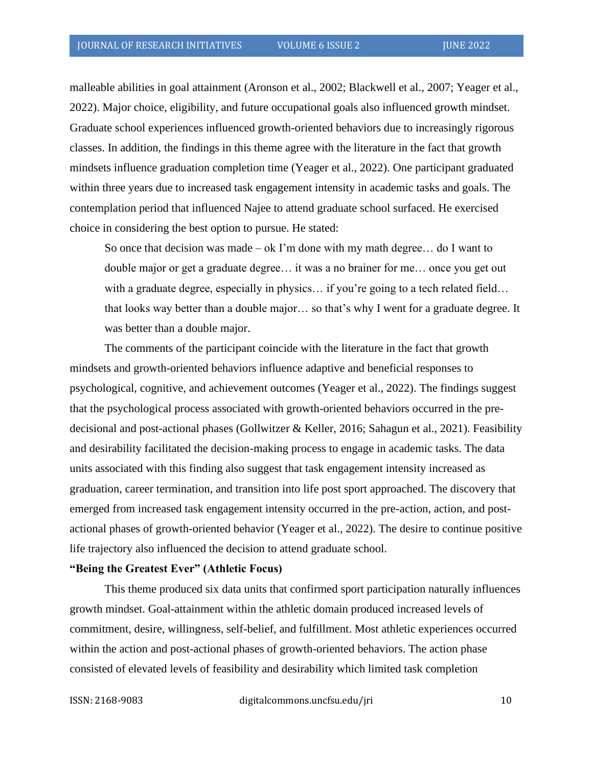malleable abilities in goal attainment (Aronson et al., 2002; Blackwell et al., 2007; Yeager et al., 2022). Major choice, eligibility, and future occupational goals also influenced growth mindset. Graduate school experiences influenced growth-oriented behaviors due to increasingly rigorous classes. In addition, the findings in this theme agree with the literature in the fact that growth mindsets influence graduation completion time (Yeager et al., 2022). One participant graduated within three years due to increased task engagement intensity in academic tasks and goals. The contemplation period that influenced Najee to attend graduate school surfaced. He exercised choice in considering the best option to pursue. He stated:

So once that decision was made – ok I'm done with my math degree... do I want to double major or get a graduate degree… it was a no brainer for me… once you get out with a graduate degree, especially in physics... if you're going to a tech related field... that looks way better than a double major… so that's why I went for a graduate degree. It was better than a double major.

The comments of the participant coincide with the literature in the fact that growth mindsets and growth-oriented behaviors influence adaptive and beneficial responses to psychological, cognitive, and achievement outcomes (Yeager et al., 2022). The findings suggest that the psychological process associated with growth-oriented behaviors occurred in the predecisional and post-actional phases (Gollwitzer & Keller, 2016; Sahagun et al., 2021). Feasibility and desirability facilitated the decision-making process to engage in academic tasks. The data units associated with this finding also suggest that task engagement intensity increased as graduation, career termination, and transition into life post sport approached. The discovery that emerged from increased task engagement intensity occurred in the pre-action, action, and postactional phases of growth-oriented behavior (Yeager et al., 2022). The desire to continue positive life trajectory also influenced the decision to attend graduate school.

## **"Being the Greatest Ever" (Athletic Focus)**

This theme produced six data units that confirmed sport participation naturally influences growth mindset. Goal-attainment within the athletic domain produced increased levels of commitment, desire, willingness, self-belief, and fulfillment. Most athletic experiences occurred within the action and post-actional phases of growth-oriented behaviors. The action phase consisted of elevated levels of feasibility and desirability which limited task completion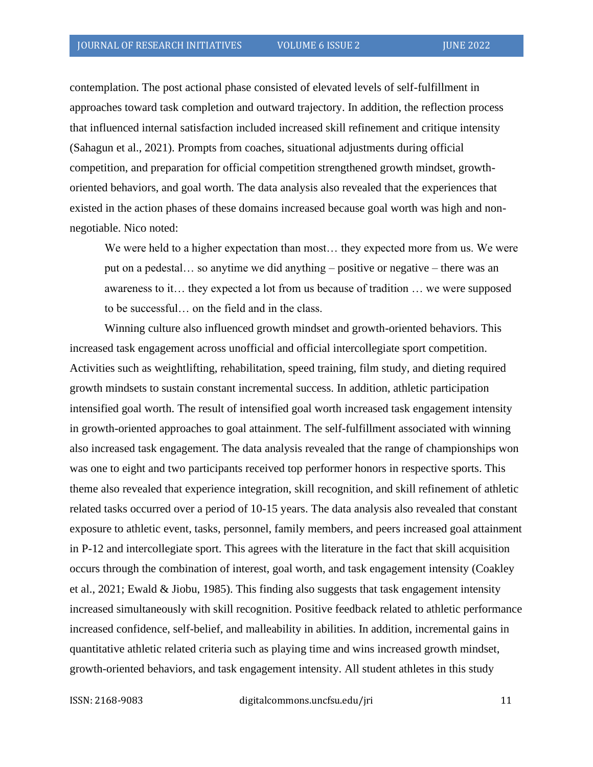contemplation. The post actional phase consisted of elevated levels of self-fulfillment in approaches toward task completion and outward trajectory. In addition, the reflection process that influenced internal satisfaction included increased skill refinement and critique intensity (Sahagun et al., 2021). Prompts from coaches, situational adjustments during official competition, and preparation for official competition strengthened growth mindset, growthoriented behaviors, and goal worth. The data analysis also revealed that the experiences that existed in the action phases of these domains increased because goal worth was high and nonnegotiable. Nico noted:

We were held to a higher expectation than most… they expected more from us. We were put on a pedestal… so anytime we did anything – positive or negative – there was an awareness to it… they expected a lot from us because of tradition … we were supposed to be successful… on the field and in the class.

Winning culture also influenced growth mindset and growth-oriented behaviors. This increased task engagement across unofficial and official intercollegiate sport competition. Activities such as weightlifting, rehabilitation, speed training, film study, and dieting required growth mindsets to sustain constant incremental success. In addition, athletic participation intensified goal worth. The result of intensified goal worth increased task engagement intensity in growth-oriented approaches to goal attainment. The self-fulfillment associated with winning also increased task engagement. The data analysis revealed that the range of championships won was one to eight and two participants received top performer honors in respective sports. This theme also revealed that experience integration, skill recognition, and skill refinement of athletic related tasks occurred over a period of 10-15 years. The data analysis also revealed that constant exposure to athletic event, tasks, personnel, family members, and peers increased goal attainment in P-12 and intercollegiate sport. This agrees with the literature in the fact that skill acquisition occurs through the combination of interest, goal worth, and task engagement intensity (Coakley et al., 2021; Ewald & Jiobu, 1985). This finding also suggests that task engagement intensity increased simultaneously with skill recognition. Positive feedback related to athletic performance increased confidence, self-belief, and malleability in abilities. In addition, incremental gains in quantitative athletic related criteria such as playing time and wins increased growth mindset, growth-oriented behaviors, and task engagement intensity. All student athletes in this study

ISSN: 2168-9083 digitalcommons.uncfsu.edu/jri 11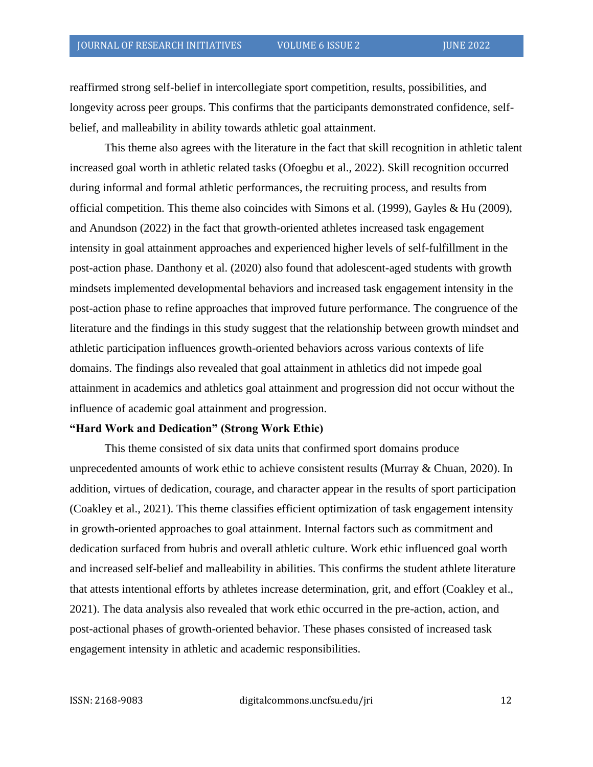reaffirmed strong self-belief in intercollegiate sport competition, results, possibilities, and longevity across peer groups. This confirms that the participants demonstrated confidence, selfbelief, and malleability in ability towards athletic goal attainment.

This theme also agrees with the literature in the fact that skill recognition in athletic talent increased goal worth in athletic related tasks (Ofoegbu et al., 2022). Skill recognition occurred during informal and formal athletic performances, the recruiting process, and results from official competition. This theme also coincides with Simons et al. (1999), Gayles & Hu (2009), and Anundson (2022) in the fact that growth-oriented athletes increased task engagement intensity in goal attainment approaches and experienced higher levels of self-fulfillment in the post-action phase. Danthony et al. (2020) also found that adolescent-aged students with growth mindsets implemented developmental behaviors and increased task engagement intensity in the post-action phase to refine approaches that improved future performance. The congruence of the literature and the findings in this study suggest that the relationship between growth mindset and athletic participation influences growth-oriented behaviors across various contexts of life domains. The findings also revealed that goal attainment in athletics did not impede goal attainment in academics and athletics goal attainment and progression did not occur without the influence of academic goal attainment and progression.

#### **"Hard Work and Dedication" (Strong Work Ethic)**

This theme consisted of six data units that confirmed sport domains produce unprecedented amounts of work ethic to achieve consistent results (Murray & Chuan, 2020). In addition, virtues of dedication, courage, and character appear in the results of sport participation (Coakley et al., 2021). This theme classifies efficient optimization of task engagement intensity in growth-oriented approaches to goal attainment. Internal factors such as commitment and dedication surfaced from hubris and overall athletic culture. Work ethic influenced goal worth and increased self-belief and malleability in abilities. This confirms the student athlete literature that attests intentional efforts by athletes increase determination, grit, and effort (Coakley et al., 2021). The data analysis also revealed that work ethic occurred in the pre-action, action, and post-actional phases of growth-oriented behavior. These phases consisted of increased task engagement intensity in athletic and academic responsibilities.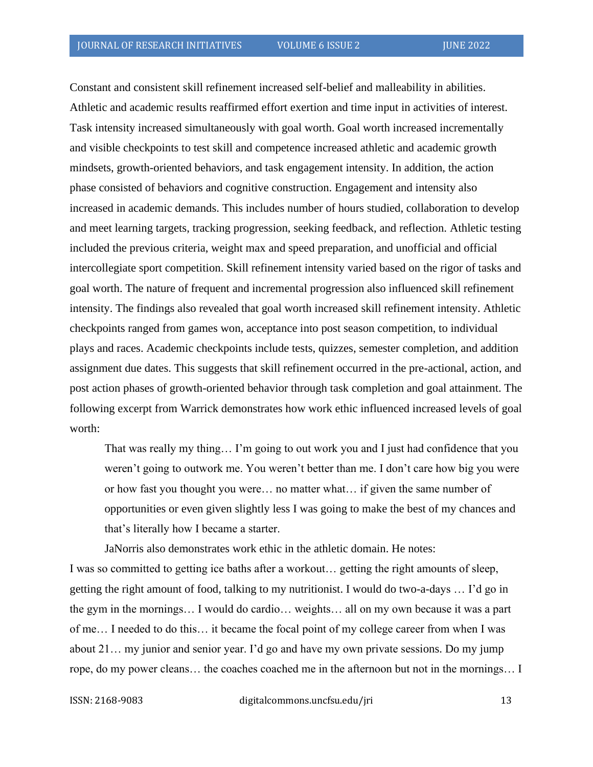Constant and consistent skill refinement increased self-belief and malleability in abilities. Athletic and academic results reaffirmed effort exertion and time input in activities of interest. Task intensity increased simultaneously with goal worth. Goal worth increased incrementally and visible checkpoints to test skill and competence increased athletic and academic growth mindsets, growth-oriented behaviors, and task engagement intensity. In addition, the action phase consisted of behaviors and cognitive construction. Engagement and intensity also increased in academic demands. This includes number of hours studied, collaboration to develop and meet learning targets, tracking progression, seeking feedback, and reflection. Athletic testing included the previous criteria, weight max and speed preparation, and unofficial and official intercollegiate sport competition. Skill refinement intensity varied based on the rigor of tasks and goal worth. The nature of frequent and incremental progression also influenced skill refinement intensity. The findings also revealed that goal worth increased skill refinement intensity. Athletic checkpoints ranged from games won, acceptance into post season competition, to individual plays and races. Academic checkpoints include tests, quizzes, semester completion, and addition assignment due dates. This suggests that skill refinement occurred in the pre-actional, action, and post action phases of growth-oriented behavior through task completion and goal attainment. The following excerpt from Warrick demonstrates how work ethic influenced increased levels of goal worth:

That was really my thing… I'm going to out work you and I just had confidence that you weren't going to outwork me. You weren't better than me. I don't care how big you were or how fast you thought you were… no matter what… if given the same number of opportunities or even given slightly less I was going to make the best of my chances and that's literally how I became a starter.

JaNorris also demonstrates work ethic in the athletic domain. He notes:

I was so committed to getting ice baths after a workout… getting the right amounts of sleep, getting the right amount of food, talking to my nutritionist. I would do two-a-days … I'd go in the gym in the mornings… I would do cardio… weights… all on my own because it was a part of me… I needed to do this… it became the focal point of my college career from when I was about 21… my junior and senior year. I'd go and have my own private sessions. Do my jump rope, do my power cleans… the coaches coached me in the afternoon but not in the mornings… I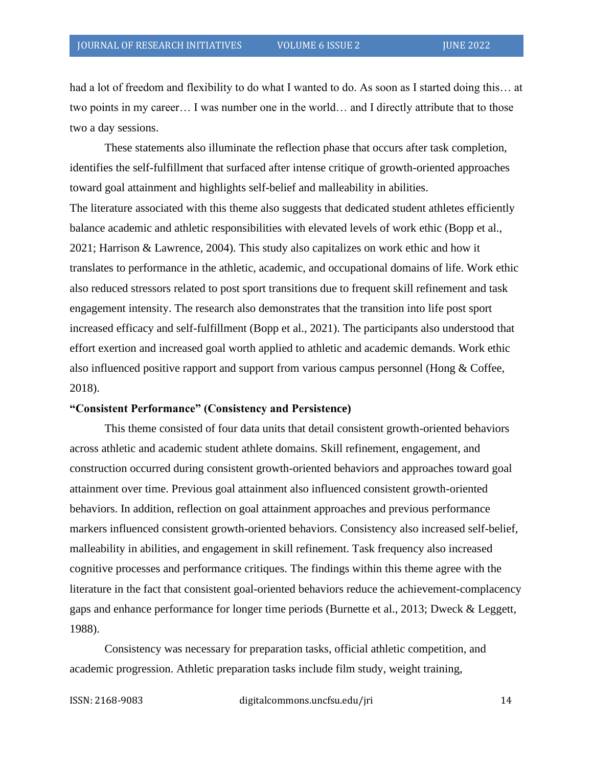had a lot of freedom and flexibility to do what I wanted to do. As soon as I started doing this… at two points in my career… I was number one in the world… and I directly attribute that to those two a day sessions.

These statements also illuminate the reflection phase that occurs after task completion, identifies the self-fulfillment that surfaced after intense critique of growth-oriented approaches toward goal attainment and highlights self-belief and malleability in abilities. The literature associated with this theme also suggests that dedicated student athletes efficiently balance academic and athletic responsibilities with elevated levels of work ethic (Bopp et al., 2021; Harrison & Lawrence, 2004). This study also capitalizes on work ethic and how it translates to performance in the athletic, academic, and occupational domains of life. Work ethic also reduced stressors related to post sport transitions due to frequent skill refinement and task engagement intensity. The research also demonstrates that the transition into life post sport increased efficacy and self-fulfillment (Bopp et al., 2021). The participants also understood that effort exertion and increased goal worth applied to athletic and academic demands. Work ethic also influenced positive rapport and support from various campus personnel (Hong & Coffee, 2018).

#### **"Consistent Performance" (Consistency and Persistence)**

This theme consisted of four data units that detail consistent growth-oriented behaviors across athletic and academic student athlete domains. Skill refinement, engagement, and construction occurred during consistent growth-oriented behaviors and approaches toward goal attainment over time. Previous goal attainment also influenced consistent growth-oriented behaviors. In addition, reflection on goal attainment approaches and previous performance markers influenced consistent growth-oriented behaviors. Consistency also increased self-belief, malleability in abilities, and engagement in skill refinement. Task frequency also increased cognitive processes and performance critiques. The findings within this theme agree with the literature in the fact that consistent goal-oriented behaviors reduce the achievement-complacency gaps and enhance performance for longer time periods (Burnette et al., 2013; Dweck & Leggett, 1988).

Consistency was necessary for preparation tasks, official athletic competition, and academic progression. Athletic preparation tasks include film study, weight training,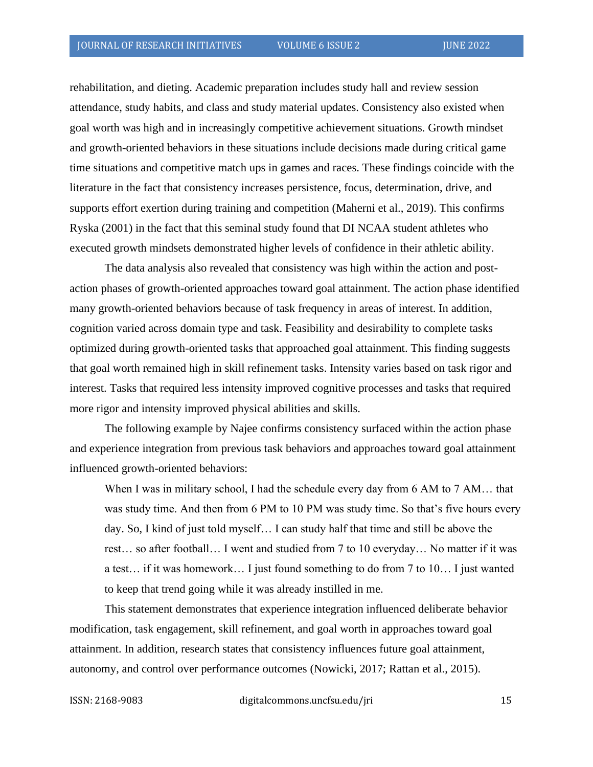rehabilitation, and dieting. Academic preparation includes study hall and review session attendance, study habits, and class and study material updates. Consistency also existed when goal worth was high and in increasingly competitive achievement situations. Growth mindset and growth-oriented behaviors in these situations include decisions made during critical game time situations and competitive match ups in games and races. These findings coincide with the literature in the fact that consistency increases persistence, focus, determination, drive, and supports effort exertion during training and competition (Maherni et al., 2019). This confirms Ryska (2001) in the fact that this seminal study found that DI NCAA student athletes who executed growth mindsets demonstrated higher levels of confidence in their athletic ability.

The data analysis also revealed that consistency was high within the action and postaction phases of growth-oriented approaches toward goal attainment. The action phase identified many growth-oriented behaviors because of task frequency in areas of interest. In addition, cognition varied across domain type and task. Feasibility and desirability to complete tasks optimized during growth-oriented tasks that approached goal attainment. This finding suggests that goal worth remained high in skill refinement tasks. Intensity varies based on task rigor and interest. Tasks that required less intensity improved cognitive processes and tasks that required more rigor and intensity improved physical abilities and skills.

The following example by Najee confirms consistency surfaced within the action phase and experience integration from previous task behaviors and approaches toward goal attainment influenced growth-oriented behaviors:

When I was in military school, I had the schedule every day from 6 AM to 7 AM... that was study time. And then from 6 PM to 10 PM was study time. So that's five hours every day. So, I kind of just told myself… I can study half that time and still be above the rest… so after football… I went and studied from 7 to 10 everyday… No matter if it was a test… if it was homework… I just found something to do from 7 to 10… I just wanted to keep that trend going while it was already instilled in me.

This statement demonstrates that experience integration influenced deliberate behavior modification, task engagement, skill refinement, and goal worth in approaches toward goal attainment. In addition, research states that consistency influences future goal attainment, autonomy, and control over performance outcomes (Nowicki, 2017; Rattan et al., 2015).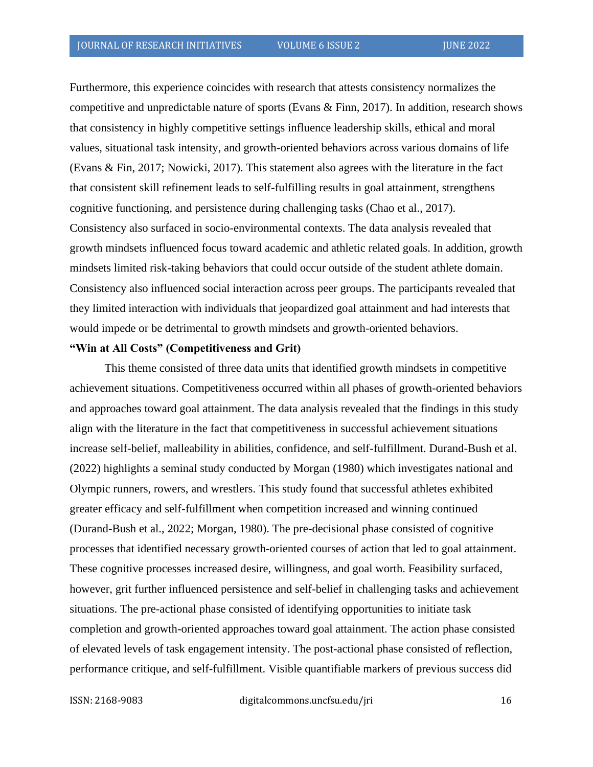Furthermore, this experience coincides with research that attests consistency normalizes the competitive and unpredictable nature of sports (Evans & Finn, 2017). In addition, research shows that consistency in highly competitive settings influence leadership skills, ethical and moral values, situational task intensity, and growth-oriented behaviors across various domains of life (Evans & Fin, 2017; Nowicki, 2017). This statement also agrees with the literature in the fact that consistent skill refinement leads to self-fulfilling results in goal attainment, strengthens cognitive functioning, and persistence during challenging tasks (Chao et al., 2017). Consistency also surfaced in socio-environmental contexts. The data analysis revealed that growth mindsets influenced focus toward academic and athletic related goals. In addition, growth mindsets limited risk-taking behaviors that could occur outside of the student athlete domain. Consistency also influenced social interaction across peer groups. The participants revealed that they limited interaction with individuals that jeopardized goal attainment and had interests that would impede or be detrimental to growth mindsets and growth-oriented behaviors.

### **"Win at All Costs" (Competitiveness and Grit)**

This theme consisted of three data units that identified growth mindsets in competitive achievement situations. Competitiveness occurred within all phases of growth-oriented behaviors and approaches toward goal attainment. The data analysis revealed that the findings in this study align with the literature in the fact that competitiveness in successful achievement situations increase self-belief, malleability in abilities, confidence, and self-fulfillment. Durand-Bush et al. (2022) highlights a seminal study conducted by Morgan (1980) which investigates national and Olympic runners, rowers, and wrestlers. This study found that successful athletes exhibited greater efficacy and self-fulfillment when competition increased and winning continued (Durand-Bush et al., 2022; Morgan, 1980). The pre-decisional phase consisted of cognitive processes that identified necessary growth-oriented courses of action that led to goal attainment. These cognitive processes increased desire, willingness, and goal worth. Feasibility surfaced, however, grit further influenced persistence and self-belief in challenging tasks and achievement situations. The pre-actional phase consisted of identifying opportunities to initiate task completion and growth-oriented approaches toward goal attainment. The action phase consisted of elevated levels of task engagement intensity. The post-actional phase consisted of reflection, performance critique, and self-fulfillment. Visible quantifiable markers of previous success did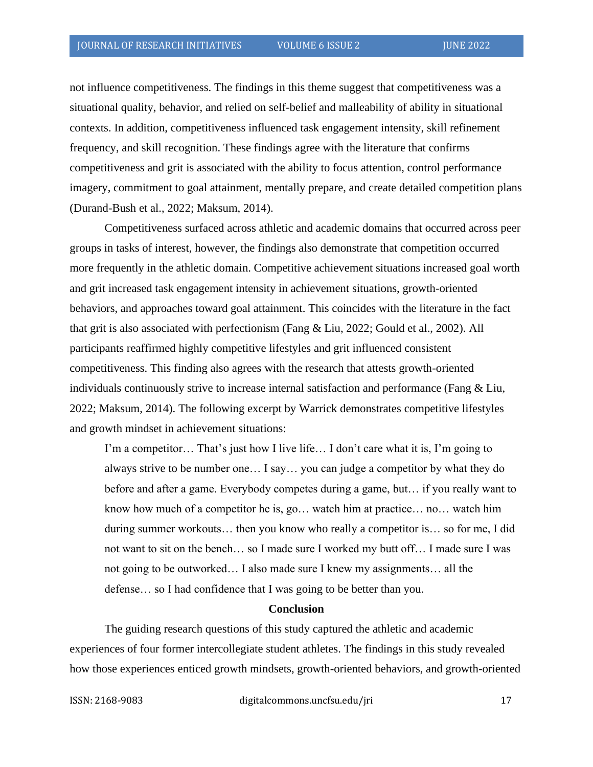not influence competitiveness. The findings in this theme suggest that competitiveness was a situational quality, behavior, and relied on self-belief and malleability of ability in situational contexts. In addition, competitiveness influenced task engagement intensity, skill refinement frequency, and skill recognition. These findings agree with the literature that confirms competitiveness and grit is associated with the ability to focus attention, control performance imagery, commitment to goal attainment, mentally prepare, and create detailed competition plans (Durand-Bush et al., 2022; Maksum, 2014).

Competitiveness surfaced across athletic and academic domains that occurred across peer groups in tasks of interest, however, the findings also demonstrate that competition occurred more frequently in the athletic domain. Competitive achievement situations increased goal worth and grit increased task engagement intensity in achievement situations, growth-oriented behaviors, and approaches toward goal attainment. This coincides with the literature in the fact that grit is also associated with perfectionism (Fang & Liu, 2022; Gould et al., 2002). All participants reaffirmed highly competitive lifestyles and grit influenced consistent competitiveness. This finding also agrees with the research that attests growth-oriented individuals continuously strive to increase internal satisfaction and performance (Fang & Liu, 2022; Maksum, 2014). The following excerpt by Warrick demonstrates competitive lifestyles and growth mindset in achievement situations:

I'm a competitor… That's just how I live life… I don't care what it is, I'm going to always strive to be number one… I say… you can judge a competitor by what they do before and after a game. Everybody competes during a game, but… if you really want to know how much of a competitor he is, go… watch him at practice… no… watch him during summer workouts… then you know who really a competitor is… so for me, I did not want to sit on the bench… so I made sure I worked my butt off… I made sure I was not going to be outworked… I also made sure I knew my assignments… all the defense… so I had confidence that I was going to be better than you.

#### **Conclusion**

The guiding research questions of this study captured the athletic and academic experiences of four former intercollegiate student athletes. The findings in this study revealed how those experiences enticed growth mindsets, growth-oriented behaviors, and growth-oriented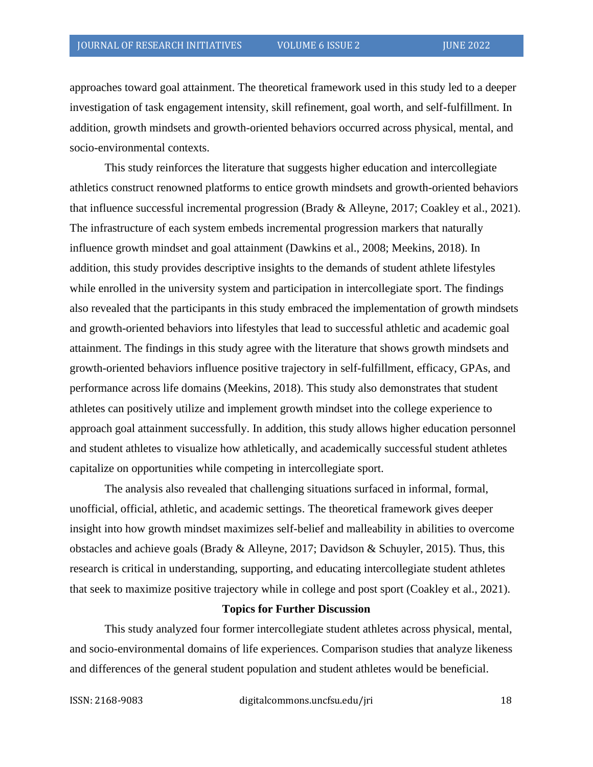approaches toward goal attainment. The theoretical framework used in this study led to a deeper investigation of task engagement intensity, skill refinement, goal worth, and self-fulfillment. In addition, growth mindsets and growth-oriented behaviors occurred across physical, mental, and socio-environmental contexts.

This study reinforces the literature that suggests higher education and intercollegiate athletics construct renowned platforms to entice growth mindsets and growth-oriented behaviors that influence successful incremental progression (Brady & Alleyne, 2017; Coakley et al., 2021). The infrastructure of each system embeds incremental progression markers that naturally influence growth mindset and goal attainment (Dawkins et al., 2008; Meekins, 2018). In addition, this study provides descriptive insights to the demands of student athlete lifestyles while enrolled in the university system and participation in intercollegiate sport. The findings also revealed that the participants in this study embraced the implementation of growth mindsets and growth-oriented behaviors into lifestyles that lead to successful athletic and academic goal attainment. The findings in this study agree with the literature that shows growth mindsets and growth-oriented behaviors influence positive trajectory in self-fulfillment, efficacy, GPAs, and performance across life domains (Meekins, 2018). This study also demonstrates that student athletes can positively utilize and implement growth mindset into the college experience to approach goal attainment successfully. In addition, this study allows higher education personnel and student athletes to visualize how athletically, and academically successful student athletes capitalize on opportunities while competing in intercollegiate sport.

The analysis also revealed that challenging situations surfaced in informal, formal, unofficial, official, athletic, and academic settings. The theoretical framework gives deeper insight into how growth mindset maximizes self-belief and malleability in abilities to overcome obstacles and achieve goals (Brady & Alleyne, 2017; Davidson & Schuyler, 2015). Thus, this research is critical in understanding, supporting, and educating intercollegiate student athletes that seek to maximize positive trajectory while in college and post sport (Coakley et al., 2021).

### **Topics for Further Discussion**

This study analyzed four former intercollegiate student athletes across physical, mental, and socio-environmental domains of life experiences. Comparison studies that analyze likeness and differences of the general student population and student athletes would be beneficial.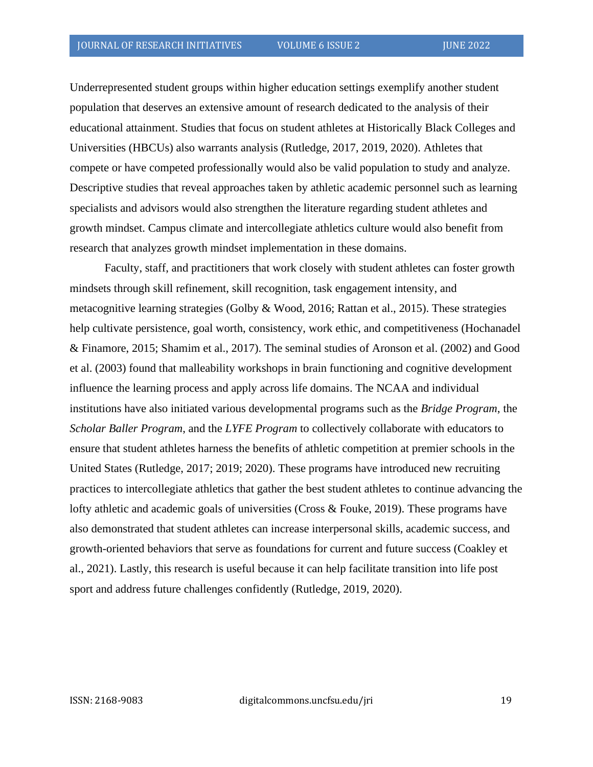Underrepresented student groups within higher education settings exemplify another student population that deserves an extensive amount of research dedicated to the analysis of their educational attainment. Studies that focus on student athletes at Historically Black Colleges and Universities (HBCUs) also warrants analysis (Rutledge, 2017, 2019, 2020). Athletes that compete or have competed professionally would also be valid population to study and analyze. Descriptive studies that reveal approaches taken by athletic academic personnel such as learning specialists and advisors would also strengthen the literature regarding student athletes and growth mindset. Campus climate and intercollegiate athletics culture would also benefit from research that analyzes growth mindset implementation in these domains.

Faculty, staff, and practitioners that work closely with student athletes can foster growth mindsets through skill refinement, skill recognition, task engagement intensity, and metacognitive learning strategies (Golby & Wood, 2016; Rattan et al., 2015). These strategies help cultivate persistence, goal worth, consistency, work ethic, and competitiveness (Hochanadel & Finamore, 2015; Shamim et al., 2017). The seminal studies of Aronson et al. (2002) and Good et al. (2003) found that malleability workshops in brain functioning and cognitive development influence the learning process and apply across life domains. The NCAA and individual institutions have also initiated various developmental programs such as the *Bridge Program*, the *Scholar Baller Program*, and the *LYFE Program* to collectively collaborate with educators to ensure that student athletes harness the benefits of athletic competition at premier schools in the United States (Rutledge, 2017; 2019; 2020). These programs have introduced new recruiting practices to intercollegiate athletics that gather the best student athletes to continue advancing the lofty athletic and academic goals of universities (Cross & Fouke, 2019). These programs have also demonstrated that student athletes can increase interpersonal skills, academic success, and growth-oriented behaviors that serve as foundations for current and future success (Coakley et al., 2021). Lastly, this research is useful because it can help facilitate transition into life post sport and address future challenges confidently (Rutledge, 2019, 2020).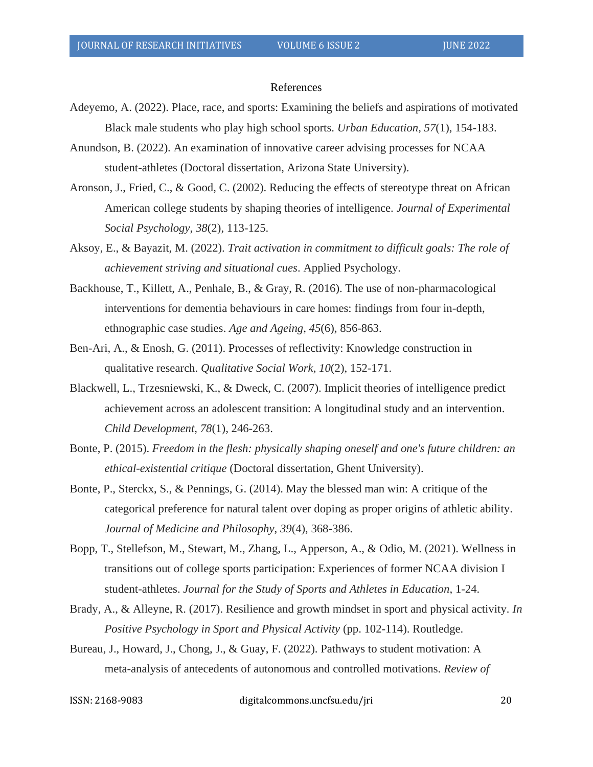#### References

- Adeyemo, A. (2022). Place, race, and sports: Examining the beliefs and aspirations of motivated Black male students who play high school sports. *Urban Education, 57*(1), 154-183.
- Anundson, B. (2022). An examination of innovative career advising processes for NCAA student-athletes (Doctoral dissertation, Arizona State University).
- Aronson, J., Fried, C., & Good, C. (2002). Reducing the effects of stereotype threat on African American college students by shaping theories of intelligence. *Journal of Experimental Social Psychology*, *38*(2), 113-125.
- Aksoy, E., & Bayazit, M. (2022). *Trait activation in commitment to difficult goals: The role of achievement striving and situational cues*. Applied Psychology.
- Backhouse, T., Killett, A., Penhale, B., & Gray, R. (2016). The use of non-pharmacological interventions for dementia behaviours in care homes: findings from four in-depth, ethnographic case studies. *Age and Ageing*, *45*(6), 856-863.
- Ben-Ari, A., & Enosh, G. (2011). Processes of reflectivity: Knowledge construction in qualitative research. *Qualitative Social Work*, *10*(2), 152-171.
- Blackwell, L., Trzesniewski, K., & Dweck, C. (2007). Implicit theories of intelligence predict achievement across an adolescent transition: A longitudinal study and an intervention. *Child Development, 78*(1), 246-263.
- Bonte, P. (2015). *Freedom in the flesh: physically shaping oneself and one's future children: an ethical-existential critique* (Doctoral dissertation, Ghent University).
- Bonte, P., Sterckx, S., & Pennings, G. (2014). May the blessed man win: A critique of the categorical preference for natural talent over doping as proper origins of athletic ability. *Journal of Medicine and Philosophy*, *39*(4), 368-386.
- Bopp, T., Stellefson, M., Stewart, M., Zhang, L., Apperson, A., & Odio, M. (2021). Wellness in transitions out of college sports participation: Experiences of former NCAA division I student-athletes. *Journal for the Study of Sports and Athletes in Education*, 1-24.
- Brady, A., & Alleyne, R. (2017). Resilience and growth mindset in sport and physical activity*. In Positive Psychology in Sport and Physical Activity* (pp. 102-114). Routledge.
- Bureau, J., Howard, J., Chong, J., & Guay, F. (2022). Pathways to student motivation: A meta-analysis of antecedents of autonomous and controlled motivations. *Review of*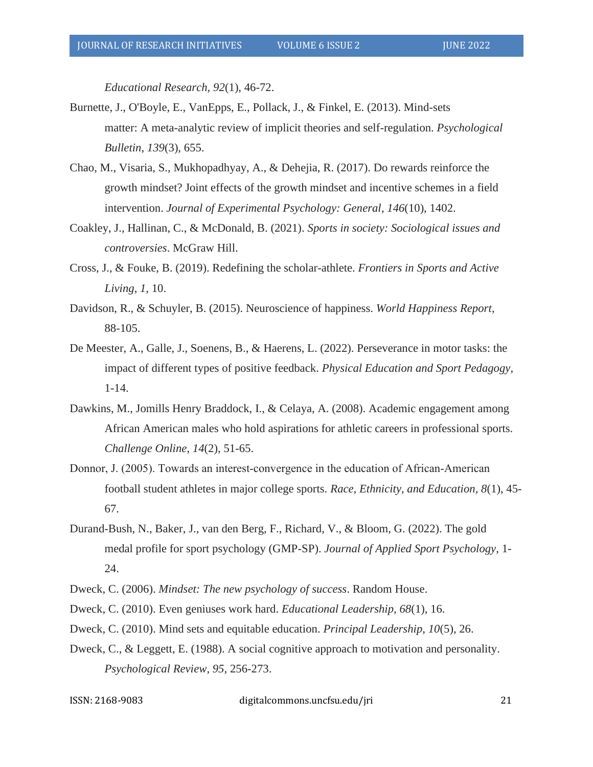*Educational Research, 92*(1), 46-72.

- Burnette, J., O'Boyle, E., VanEpps, E., Pollack, J., & Finkel, E. (2013). Mind-sets matter: A meta-analytic review of implicit theories and self-regulation. *Psychological Bulletin*, *139*(3), 655.
- Chao, M., Visaria, S., Mukhopadhyay, A., & Dehejia, R. (2017). Do rewards reinforce the growth mindset? Joint effects of the growth mindset and incentive schemes in a field intervention. *Journal of Experimental Psychology: General*, *146*(10), 1402.
- Coakley, J., Hallinan, C., & McDonald, B. (2021). *Sports in society: Sociological issues and controversies*. McGraw Hill.
- Cross, J., & Fouke, B. (2019). Redefining the scholar-athlete. *Frontiers in Sports and Active Living*, *1*, 10.
- Davidson, R., & Schuyler, B. (2015). Neuroscience of happiness. *World Happiness Report*, 88-105.
- De Meester, A., Galle, J., Soenens, B., & Haerens, L. (2022). Perseverance in motor tasks: the impact of different types of positive feedback. *Physical Education and Sport Pedagogy*, 1-14.
- Dawkins, M., Jomills Henry Braddock, I., & Celaya, A. (2008). Academic engagement among African American males who hold aspirations for athletic careers in professional sports. *Challenge Online*, *14*(2), 51-65.
- Donnor, J. (2005). Towards an interest-convergence in the education of African-American football student athletes in major college sports. *Race, Ethnicity, and Education, 8*(1), 45- 67.
- Durand-Bush, N., Baker, J., van den Berg, F., Richard, V., & Bloom, G. (2022). The gold medal profile for sport psychology (GMP-SP). *Journal of Applied Sport Psychology*, 1- 24.
- Dweck, C. (2006). *Mindset: The new psychology of success*. Random House.
- Dweck, C. (2010). Even geniuses work hard. *Educational Leadership, 68*(1), 16.
- Dweck, C. (2010). Mind sets and equitable education. *Principal Leadership, 10*(5), 26.
- Dweck, C., & Leggett, E. (1988). A social cognitive approach to motivation and personality. *Psychological Review, 95*, 256-273.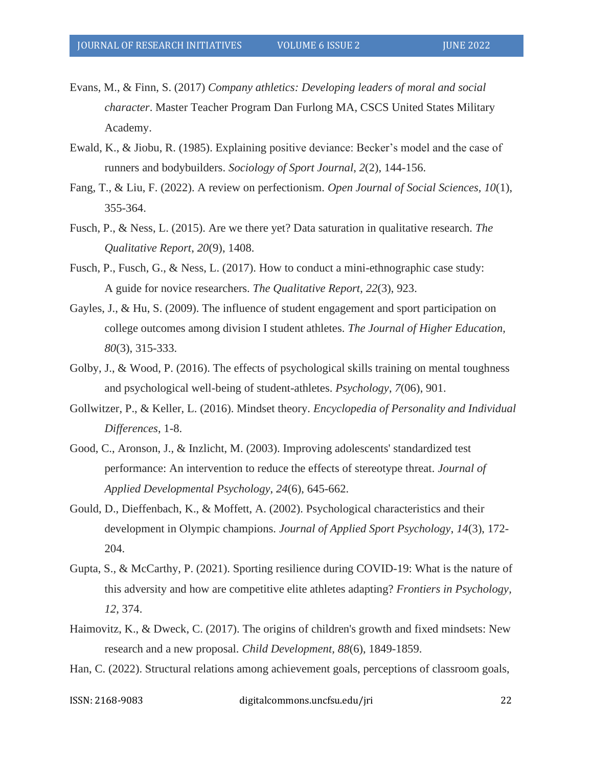- Evans, M., & Finn, S. (2017) *Company athletics: Developing leaders of moral and social character*. Master Teacher Program Dan Furlong MA, CSCS United States Military Academy.
- Ewald, K., & Jiobu, R. (1985). Explaining positive deviance: Becker's model and the case of runners and bodybuilders. *Sociology of Sport Journal*, *2*(2), 144-156.
- Fang, T., & Liu, F. (2022). A review on perfectionism. *Open Journal of Social Sciences, 10*(1), 355-364.
- Fusch, P., & Ness, L. (2015). Are we there yet? Data saturation in qualitative research. *The Qualitative Report*, *20*(9), 1408.
- Fusch, P., Fusch, G., & Ness, L. (2017). How to conduct a mini-ethnographic case study: A guide for novice researchers. *The Qualitative Report*, *22*(3), 923.
- Gayles, J., & Hu, S. (2009). The influence of student engagement and sport participation on college outcomes among division I student athletes. *The Journal of Higher Education, 80*(3), 315-333.
- Golby, J., & Wood, P. (2016). The effects of psychological skills training on mental toughness and psychological well-being of student-athletes. *Psychology*, *7*(06), 901.
- Gollwitzer, P., & Keller, L. (2016). Mindset theory. *Encyclopedia of Personality and Individual Differences*, 1-8.
- Good, C., Aronson, J., & Inzlicht, M. (2003). Improving adolescents' standardized test performance: An intervention to reduce the effects of stereotype threat. *Journal of Applied Developmental Psychology*, *24*(6), 645-662.
- Gould, D., Dieffenbach, K., & Moffett, A. (2002). Psychological characteristics and their development in Olympic champions. *Journal of Applied Sport Psychology*, *14*(3), 172- 204.
- Gupta, S., & McCarthy, P. (2021). Sporting resilience during COVID-19: What is the nature of this adversity and how are competitive elite athletes adapting? *Frontiers in Psychology, 12*, 374.
- Haimovitz, K., & Dweck, C. (2017). The origins of children's growth and fixed mindsets: New research and a new proposal. *Child Development, 88*(6), 1849-1859.
- Han, C. (2022). Structural relations among achievement goals, perceptions of classroom goals,

ISSN: 2168-9083 digitalcommons.uncfsu.edu/jri 22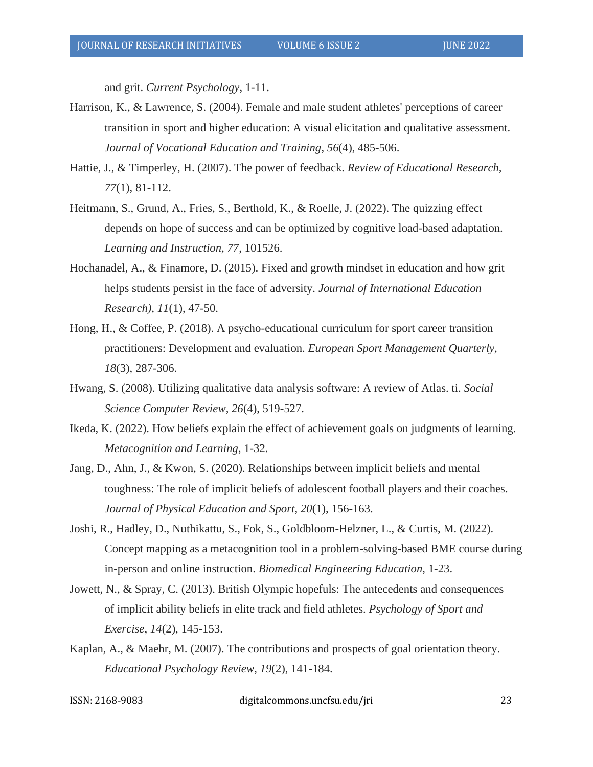and grit. *Current Psychology*, 1-11.

- Harrison, K., & Lawrence, S. (2004). Female and male student athletes' perceptions of career transition in sport and higher education: A visual elicitation and qualitative assessment. *Journal of Vocational Education and Training*, *56*(4), 485-506.
- Hattie, J., & Timperley, H. (2007). The power of feedback. *Review of Educational Research, 77*(1), 81-112.
- Heitmann, S., Grund, A., Fries, S., Berthold, K., & Roelle, J. (2022). The quizzing effect depends on hope of success and can be optimized by cognitive load-based adaptation. *Learning and Instruction, 77*, 101526.
- Hochanadel, A., & Finamore, D. (2015). Fixed and growth mindset in education and how grit helps students persist in the face of adversity. *Journal of International Education Research), 11*(1), 47-50.
- Hong, H., & Coffee, P. (2018). A psycho-educational curriculum for sport career transition practitioners: Development and evaluation. *European Sport Management Quarterly, 18*(3), 287-306.
- Hwang, S. (2008). Utilizing qualitative data analysis software: A review of Atlas. ti. *Social Science Computer Review, 26*(4), 519-527.
- Ikeda, K. (2022). How beliefs explain the effect of achievement goals on judgments of learning. *Metacognition and Learning*, 1-32.
- Jang, D., Ahn, J., & Kwon, S. (2020). Relationships between implicit beliefs and mental toughness: The role of implicit beliefs of adolescent football players and their coaches. *Journal of Physical Education and Sport, 20*(1), 156-163.
- Joshi, R., Hadley, D., Nuthikattu, S., Fok, S., Goldbloom-Helzner, L., & Curtis, M. (2022). Concept mapping as a metacognition tool in a problem-solving-based BME course during in-person and online instruction. *Biomedical Engineering Education*, 1-23.
- Jowett, N., & Spray, C. (2013). British Olympic hopefuls: The antecedents and consequences of implicit ability beliefs in elite track and field athletes. *Psychology of Sport and Exercise*, *14*(2), 145-153.
- Kaplan, A., & Maehr, M. (2007). The contributions and prospects of goal orientation theory. *Educational Psychology Review*, *19*(2), 141-184.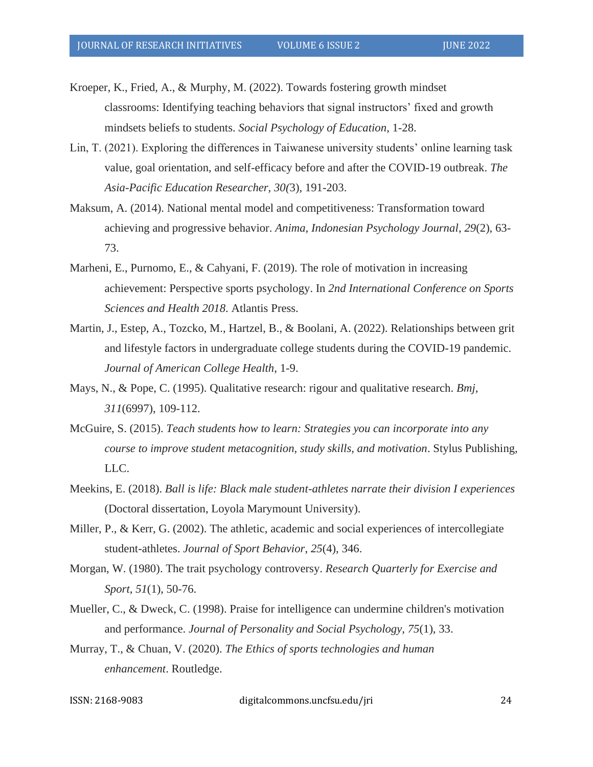Kroeper, K., Fried, A., & Murphy, M. (2022). Towards fostering growth mindset classrooms: Identifying teaching behaviors that signal instructors' fixed and growth mindsets beliefs to students. *Social Psychology of Education*, 1-28.

- Lin, T. (2021). Exploring the differences in Taiwanese university students' online learning task value, goal orientation, and self-efficacy before and after the COVID-19 outbreak. *The Asia-Pacific Education Researcher, 30(*3), 191-203.
- Maksum, A. (2014). National mental model and competitiveness: Transformation toward achieving and progressive behavior. *Anima, Indonesian Psychology Journal*, *29*(2), 63- 73.
- Marheni, E., Purnomo, E., & Cahyani, F. (2019). The role of motivation in increasing achievement: Perspective sports psychology. In *2nd International Conference on Sports Sciences and Health 2018*. Atlantis Press.
- Martin, J., Estep, A., Tozcko, M., Hartzel, B., & Boolani, A. (2022). Relationships between grit and lifestyle factors in undergraduate college students during the COVID-19 pandemic. *Journal of American College Health*, 1-9.
- Mays, N., & Pope, C. (1995). Qualitative research: rigour and qualitative research. *Bmj*, *311*(6997), 109-112.
- McGuire, S. (2015). *Teach students how to learn: Strategies you can incorporate into any course to improve student metacognition, study skills, and motivation*. Stylus Publishing, LLC.
- Meekins, E. (2018). *Ball is life: Black male student-athletes narrate their division I experiences* (Doctoral dissertation, Loyola Marymount University).
- Miller, P., & Kerr, G. (2002). The athletic, academic and social experiences of intercollegiate student-athletes. *Journal of Sport Behavior*, *25*(4), 346.
- Morgan, W. (1980). The trait psychology controversy. *Research Quarterly for Exercise and Sport*, *51*(1), 50-76.
- Mueller, C., & Dweck, C. (1998). Praise for intelligence can undermine children's motivation and performance. *Journal of Personality and Social Psychology, 75*(1), 33.
- Murray, T., & Chuan, V. (2020). *The Ethics of sports technologies and human enhancement*. Routledge.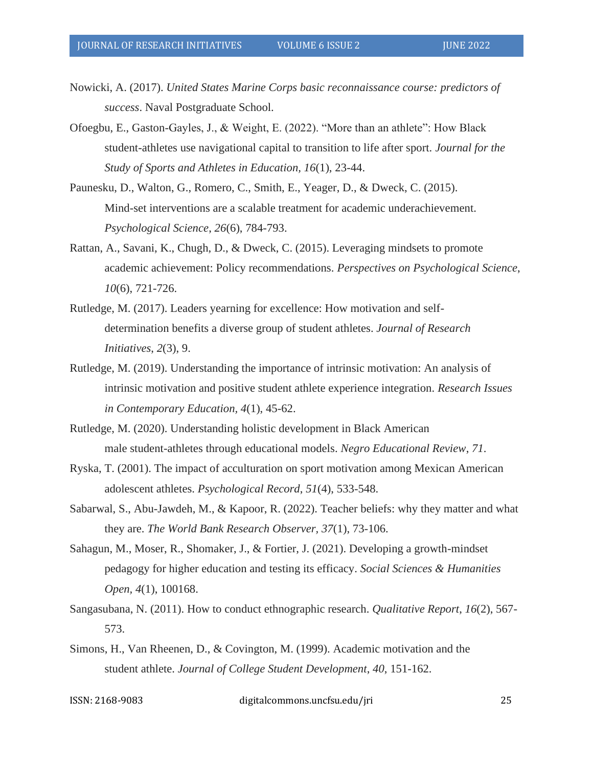- Nowicki, A. (2017). *United States Marine Corps basic reconnaissance course: predictors of success*. Naval Postgraduate School.
- Ofoegbu, E., Gaston-Gayles, J., & Weight, E. (2022). "More than an athlete": How Black student-athletes use navigational capital to transition to life after sport. *Journal for the Study of Sports and Athletes in Education, 16*(1), 23-44.
- Paunesku, D., Walton, G., Romero, C., Smith, E., Yeager, D., & Dweck, C. (2015). Mind-set interventions are a scalable treatment for academic underachievement. *Psychological Science*, *26*(6), 784-793.
- Rattan, A., Savani, K., Chugh, D., & Dweck, C. (2015). Leveraging mindsets to promote academic achievement: Policy recommendations. *Perspectives on Psychological Science*, *10*(6), 721-726.
- Rutledge, M. (2017). Leaders yearning for excellence: How motivation and selfdetermination benefits a diverse group of student athletes. *Journal of Research Initiatives*, *2*(3), 9.
- Rutledge, M. (2019). Understanding the importance of intrinsic motivation: An analysis of intrinsic motivation and positive student athlete experience integration. *Research Issues in Contemporary Education, 4*(1), 45-62.
- Rutledge, M. (2020). Understanding holistic development in Black American male student-athletes through educational models. *Negro Educational Review*, *71*.
- Ryska, T. (2001). The impact of acculturation on sport motivation among Mexican American adolescent athletes. *Psychological Record*, *51*(4), 533-548.
- Sabarwal, S., Abu-Jawdeh, M., & Kapoor, R. (2022). Teacher beliefs: why they matter and what they are. *The World Bank Research Observer, 37*(1), 73-106.
- Sahagun, M., Moser, R., Shomaker, J., & Fortier, J. (2021). Developing a growth-mindset pedagogy for higher education and testing its efficacy. *Social Sciences & Humanities Open, 4*(1), 100168.
- Sangasubana, N. (2011). How to conduct ethnographic research. *Qualitative Report*, *16*(2), 567- 573.
- Simons, H., Van Rheenen, D., & Covington, M. (1999). Academic motivation and the student athlete. *Journal of College Student Development*, *40*, 151-162.

ISSN: 2168-9083 digitalcommons.uncfsu.edu/jri 25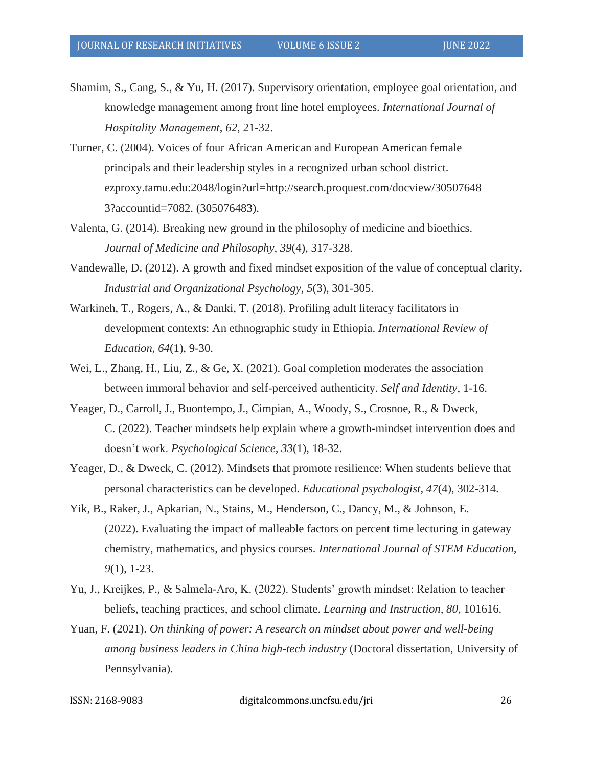- Shamim, S., Cang, S., & Yu, H. (2017). Supervisory orientation, employee goal orientation, and knowledge management among front line hotel employees. *International Journal of Hospitality Management*, *62*, 21-32.
- Turner, C. (2004). Voices of four African American and European American female principals and their leadership styles in a recognized urban school district. ezproxy.tamu.edu:2048/login?url=http://search.proquest.com/docview/30507648 3?accountid=7082. (305076483).
- Valenta, G. (2014). Breaking new ground in the philosophy of medicine and bioethics. *Journal of Medicine and Philosophy, 39*(4), 317-328.
- Vandewalle, D. (2012). A growth and fixed mindset exposition of the value of conceptual clarity. *Industrial and Organizational Psychology*, *5*(3), 301-305.
- Warkineh, T., Rogers, A., & Danki, T. (2018). Profiling adult literacy facilitators in development contexts: An ethnographic study in Ethiopia. *International Review of Education*, *64*(1), 9-30.
- Wei, L., Zhang, H., Liu, Z., & Ge, X. (2021). Goal completion moderates the association between immoral behavior and self-perceived authenticity. *Self and Identity*, 1-16.
- Yeager, D., Carroll, J., Buontempo, J., Cimpian, A., Woody, S., Crosnoe, R., & Dweck, C. (2022). Teacher mindsets help explain where a growth-mindset intervention does and doesn't work. *Psychological Science, 33*(1), 18-32.
- Yeager, D., & Dweck, C. (2012). Mindsets that promote resilience: When students believe that personal characteristics can be developed. *Educational psychologist*, *47*(4), 302-314.
- Yik, B., Raker, J., Apkarian, N., Stains, M., Henderson, C., Dancy, M., & Johnson, E. (2022). Evaluating the impact of malleable factors on percent time lecturing in gateway chemistry, mathematics, and physics courses. *International Journal of STEM Education, 9*(1), 1-23.
- Yu, J., Kreijkes, P., & Salmela-Aro, K. (2022). Students' growth mindset: Relation to teacher beliefs, teaching practices, and school climate. *Learning and Instruction, 80*, 101616.
- Yuan, F. (2021). *On thinking of power: A research on mindset about power and well-being among business leaders in China high-tech industry* (Doctoral dissertation, University of Pennsylvania).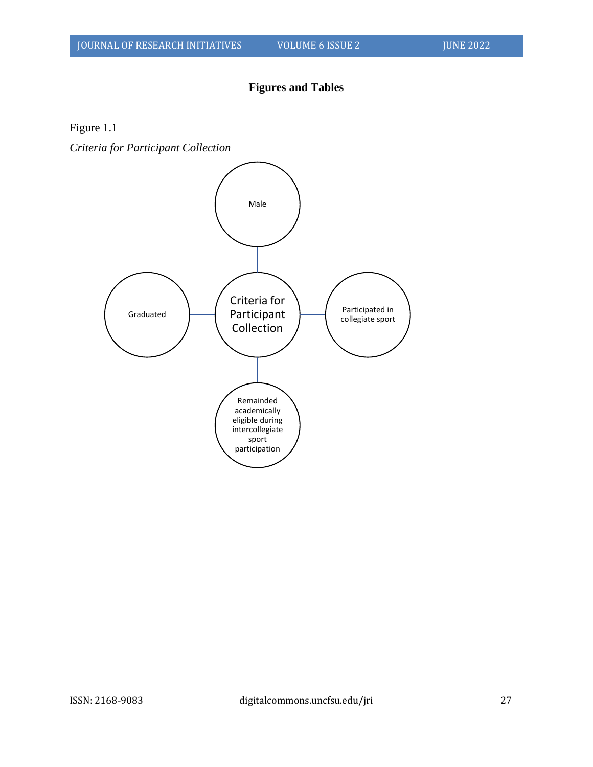## **Figures and Tables**

Figure 1.1

*Criteria for Participant Collection*

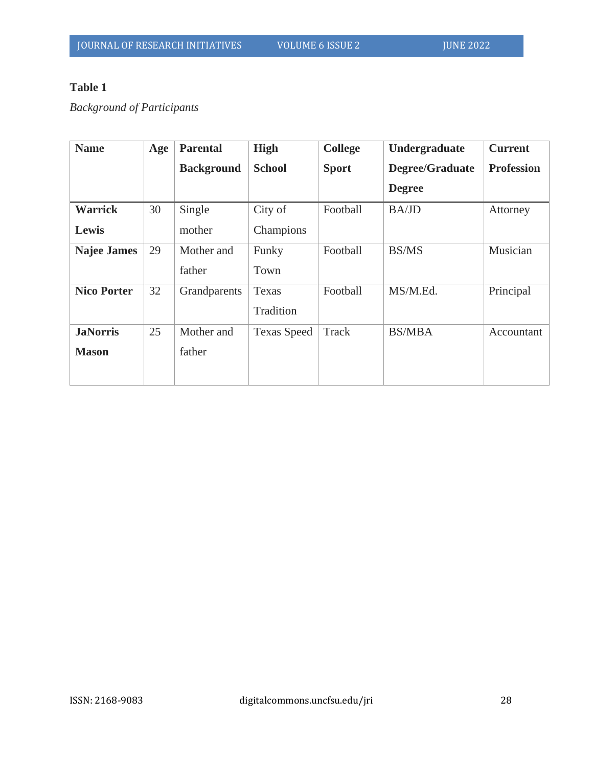# **Table 1**

*Background of Participants* 

| <b>Name</b>        | Age | <b>Parental</b>   | <b>High</b>        | <b>College</b> | Undergraduate   | <b>Current</b>    |
|--------------------|-----|-------------------|--------------------|----------------|-----------------|-------------------|
|                    |     | <b>Background</b> | <b>School</b>      | <b>Sport</b>   | Degree/Graduate | <b>Profession</b> |
|                    |     |                   |                    |                | <b>Degree</b>   |                   |
| <b>Warrick</b>     | 30  | Single            | City of            | Football       | <b>BA/JD</b>    | Attorney          |
| Lewis              |     | mother            | Champions          |                |                 |                   |
| <b>Najee James</b> | 29  | Mother and        | Funky              | Football       | <b>BS/MS</b>    | Musician          |
|                    |     | father            | Town               |                |                 |                   |
| <b>Nico Porter</b> | 32  | Grandparents      | Texas              | Football       | MS/M.Ed.        | Principal         |
|                    |     |                   | Tradition          |                |                 |                   |
| <b>JaNorris</b>    | 25  | Mother and        | <b>Texas Speed</b> | Track          | <b>BS/MBA</b>   | Accountant        |
| <b>Mason</b>       |     | father            |                    |                |                 |                   |
|                    |     |                   |                    |                |                 |                   |